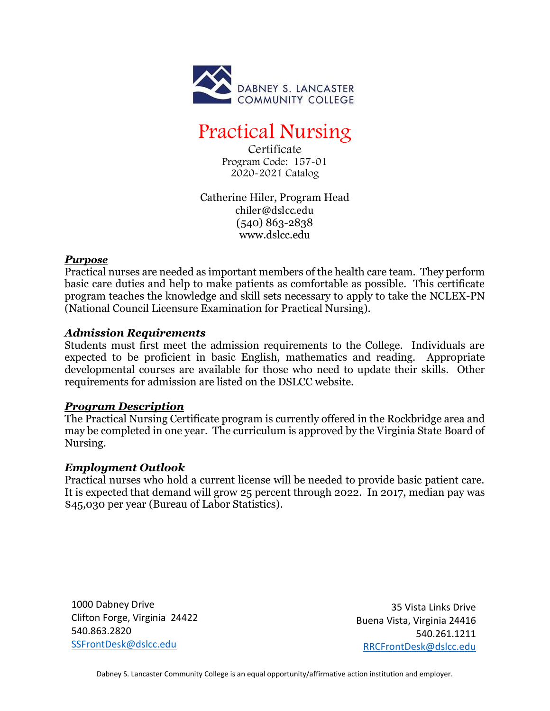

# Practical Nursing

Certificate Program Code: 157-01 2020-2021 Catalog

Catherine Hiler, Program Head chiler@dslcc.edu (540) 863-2838 www.dslcc.edu

## *Purpose*

Practical nurses are needed as important members of the health care team. They perform basic care duties and help to make patients as comfortable as possible. This certificate program teaches the knowledge and skill sets necessary to apply to take the NCLEX-PN (National Council Licensure Examination for Practical Nursing).

# *Admission Requirements*

Students must first meet the admission requirements to the College. Individuals are expected to be proficient in basic English, mathematics and reading. Appropriate developmental courses are available for those who need to update their skills. Other requirements for admission are listed on the DSLCC website.

## *Program Description*

The Practical Nursing Certificate program is currently offered in the Rockbridge area and may be completed in one year. The curriculum is approved by the Virginia State Board of Nursing.

## *Employment Outlook*

Practical nurses who hold a current license will be needed to provide basic patient care. It is expected that demand will grow 25 percent through 2022. In 2017, median pay was \$45,030 per year (Bureau of Labor Statistics).

1000 Dabney Drive Clifton Forge, Virginia 24422 540.863.2820 [SSFrontDesk@dslcc.edu](mailto:SSFrontDesk@dslcc.edu)

35 Vista Links Drive Buena Vista, Virginia 24416 540.261.1211 [RRCFrontDesk@dslcc.edu](mailto:RRCFrontDesk@dslcc.edu)

Dabney S. Lancaster Community College is an equal opportunity/affirmative action institution and employer.